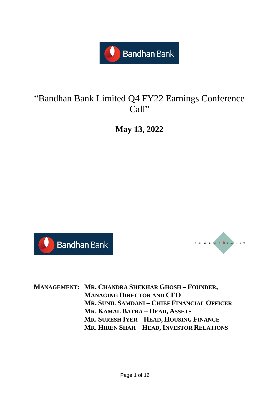

# "Bandhan Bank Limited Q4 FY22 Earnings Conference Call"

**May 13, 2022**





**MANAGEMENT: MR. CHANDRA SHEKHAR GHOSH – FOUNDER, MANAGING DIRECTOR AND CEO MR. SUNIL SAMDANI – CHIEF FINANCIAL OFFICER MR. KAMAL BATRA – HEAD, ASSETS MR. SURESH IYER – HEAD, HOUSING FINANCE MR. HIREN SHAH – HEAD, INVESTOR RELATIONS**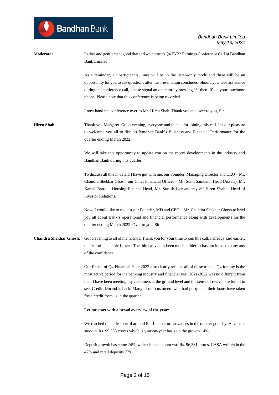| <b>Moderator:</b>  | Ladies and gentlemen, good day and welcome to Q4 FY22 Earnings Conference Call of Bandhan<br>Bank Limited.                                                                                                                                                                                                                                                                                                                                      |
|--------------------|-------------------------------------------------------------------------------------------------------------------------------------------------------------------------------------------------------------------------------------------------------------------------------------------------------------------------------------------------------------------------------------------------------------------------------------------------|
|                    | As a reminder, all participants' lines will be in the listen-only mode and there will be an<br>opportunity for you to ask questions after the presentation concludes. Should you need assistance<br>during the conference call, please signal an operator by pressing '*' then '0' on your touchtone<br>phone. Please note that this conference is being recorded.                                                                              |
|                    | I now hand the conference over to Mr. Hiren Shah. Thank you and over to you, Sir.                                                                                                                                                                                                                                                                                                                                                               |
| <b>Hiren Shah:</b> | Thank you Margaret. Good evening, everyone and thanks for joining this call. It's our pleasure<br>to welcome you all to discuss Bandhan Bank's Business and Financial Performance for the<br>quarter ending March 2022.                                                                                                                                                                                                                         |
|                    | We will take this opportunity to update you on the recent developments in the industry and<br>Bandhan Bank during this quarter.                                                                                                                                                                                                                                                                                                                 |
|                    | To discuss all this in detail, I have got with me, our Founder, Managing Director and CEO – Mr.<br>Chandra Shekhar Ghosh, our Chief Financial Officer – Mr. Sunil Samdani, Head (Assets), Mr.<br>Kamal Batra - Housing Finance Head, Mr. Suresh Iyer and myself Hiren Shah - Head of<br>Investor Relations.                                                                                                                                     |
|                    | Now, I would like to request our Founder, MD and CEO – Mr. Chandra Shekhar Ghosh to brief<br>you all about Bank's operational and financial performance along with developments for the<br>quarter ending March 2022. Over to you, Sir.                                                                                                                                                                                                         |
|                    | Chandra Shekhar Ghosh: Good evening to all of my friends. Thank you for your time to join this call. I already said earlier,<br>the fear of pandemic is over. The third wave has been much milder. It has not infused to my any<br>of the confidence.                                                                                                                                                                                           |
|                    | Our Result of Q4 Financial Year 2022 also clearly reflects all of these trends. Q4 for any is the<br>most active period for the banking industry and financial year 2021-2022 was no different from<br>that. I have been meeting my customers at the ground level and the sense of revival are for all to<br>see. Credit demand is back. Many of our customers who had postponed their loans have taken<br>fresh credit from us in the quarter. |
|                    | Let me start with a broad overview of the year:                                                                                                                                                                                                                                                                                                                                                                                                 |
|                    | We reached the milestone of around Rs. 1 lakh crore advances in the quarter gone by. Advances<br>stood at Rs. 99,338 crores which is year-on-year basis up the growth 14%.                                                                                                                                                                                                                                                                      |
|                    | Deposit growth has come 24%, which is the amount was Rs. 96,331 crores. CASA written in the<br>42% and retail deposits 77%.                                                                                                                                                                                                                                                                                                                     |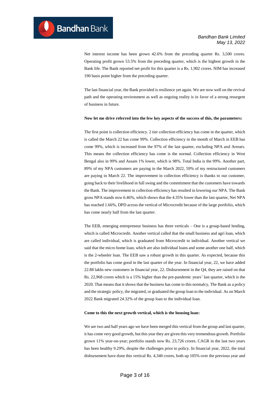Net interest income has been grown 42.6% from the preceding quarter Rs. 3,500 crores. Operating profit grown 53.5% from the preceding quarter, which is the highest growth in the Bank life. The Bank reported net profit for this quarter is a Rs. 1,902 crores. NIM has increased 190 basis point higher from the preceding quarter.

**Bandhan** Bank

The last financial year, the Bank provided is resilience yet again. We are now well on the revival path and the operating environment as well as ongoing reality is in favor of a strong resurgent of business in future.

#### **Now let me drive referred into the few key aspects of the success of this, the parameters:**

The first point is collection efficiency. 2 tier collection efficiency has come in the quarter, which is called the March 22 has come 99%. Collection efficiency in the month of March in EEB has come 99%, which is increased from the 97% of the last quarter, excluding NPA and Arrears. This means the collection efficiency has come is the normal. Collection efficiency in West Bengal also in 99% and Assam 1% lower, which is 98%. Total India is the 99%. Another part, 89% of my NPA customers are paying in the March 2022, 59% of my restructured customers are paying in March 22. The improvement in collection efficiency is thanks to our customer, going back to their livelihood in full swing and the commitment that the customers have towards the Bank. The improvement in collection efficiency has resulted in lowering our NPA. The Bank gross NPA stands now 6.46%, which shows that the 4.35% lower than the last quarter, Net NPA has reached 1.66%, DPD across the vertical of Microcredit because of the large portfolio, which has come nearly half from the last quarter.

The EEB, emerging entrepreneur business has three verticals – One is a group-based lending, which is called Microcredit. Another vertical called that the small business and agri loan, which are called individual, which is graduated from Microcredit to individual. Another vertical we said that the micro home loan, which are also individual loans and some another one half, which is the 2-wheeler loan. The EEB saw a robust growth in this quarter. As expected, because this the portfolio has come good in the last quarter of the year. In financial year, 22, we have added 22.88 lakhs new customers in financial year, 22. Disbursement in the Q4, they are raised on that Rs. 22,968 crores which is a 15% higher than the pre-pandemic years' last quarter, which is the 2020. That means that it shows that the business has come to this normalcy, The Bank as a policy and the strategic policy, the migrated, or graduated the group loan to the individual. As on March 2022 Bank migrated 24.32% of the group loan to the individual loan.

#### **Come to this the next growth vertical, which is the housing loan:**

We are two and half years ago we have been merged this vertical from the group and last quarter, it has come very good growth, but this year they are given this very tremendous growth. Portfolio grown 11% year-on-year; portfolio stands now Rs. 23,726 crores. CAGR in the last two years has been healthy 9.29%, despite the challenges prior to policy. In financial year, 2022, the total disbursement have done this vertical Rs. 4,340 crores, both up 105% over the previous year and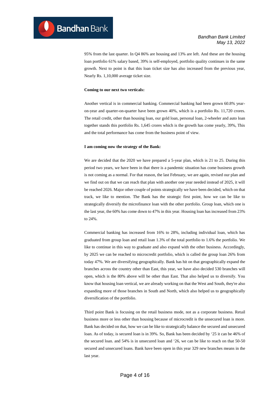95% from the last quarter. In Q4 86% are housing and 13% are left. And these are the housing loan portfolio 61% salary based, 39% is self-employed, portfolio quality continues in the same growth. Next to point is that this loan ticket size has also increased from the previous year, Nearly Rs. 1,10,000 average ticket size.

#### **Coming to our next two verticals:**

**Bandhan** Bank

Another vertical is in commercial banking. Commercial banking had been grown 60.8% yearon-year and quarter-on-quarter have been grown 40%, which is a portfolio Rs. 11,720 crores. The retail credit, other than housing loan, our gold loan, personal loan, 2-wheeler and auto loan together stands this portfolio Rs. 1,645 crores which is the growth has come yearly, 39%, This and the total performance has come from the business point of view.

#### **I am coming now the strategy of the Bank:**

We are decided that the 2020 we have prepared a 5-year plan, which is 21 to 25. During this period two years, we have been in that there is a pandemic situation has come business growth is not coming as a normal. For that reason, the last February, we are again, revised our plan and we find out on that we can reach that plan with another one year needed instead of 2025, it will be reached 2026. Major other couple of points strategically we have been decided, which on that track, we like to mention. The Bank has the strategic first point, how we can be like to strategically diversify the microfinance loan with the other portfolio. Group loan, which one is the last year, the 60% has come down to 47% in this year. Housing loan has increased from 23% to 24%.

Commercial banking has increased from 16% to 28%, including individual loan, which has graduated from group loan and retail loan 1.3% of the total portfolio to 1.6% the portfolio. We like to continue in this way to graduate and also expand with the other business. Accordingly, by 2025 we can be reached to microcredit portfolio, which is called the group loan 26% from today 47%. We are diversifying geographically. Bank has hit on that geographically expand the branches across the country other than East, this year, we have also decided 530 branches will open, which is the 80% above will be other than East. That also helped us to diversify. You know that housing loan vertical, we are already working on that the West and South, they're also expanding more of those branches in South and North, which also helped us to geographically diversification of the portfolio.

Third point Bank is focusing on the retail business mode, not as a corporate business. Retail business more or less other than housing because of microcredit is the unsecured loan is more. Bank has decided on that, how we can be like to strategically balance the secured and unsecured loan. As of today, is secured loan is in 39%. So, Bank has been decided by '25 it can be 46% of the secured loan. and 54% is in unsecured loan and '26, we can be like to reach on that 50-50 secured and unsecured loans. Bank have been open in this year 329 new branches means in the last year.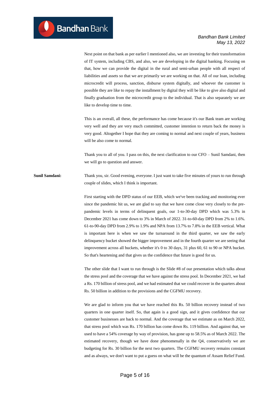Next point on that bank as per earlier I mentioned also, we are investing for their transformation of IT system, including CBS, and also, we are developing in the digital banking. Focusing on that, how we can provide the digital in the rural and semi-urban people with all respect of liabilities and assets so that we are primarily we are working on that. All of our loan, including microcredit will process, sanction, disburse system digitally, and whoever the customer is possible they are like to repay the installment by digital they will be like to give also digital and finally graduation from the microcredit group to the individual. That is also separately we are like to develop time to time.

This is an overall, all these, the performance has come because it's our Bank team are working very well and they are very much committed, customer intention to return back the money is very good. Altogether I hope that they are coming to normal and next couple of years, business will be also come to normal.

Thank you to all of you. I pass on this, the next clarification to our CFO – Sunil Samdani, then we will go to question and answer.

**Sunil Samdani:** Thank you, sir. Good evening, everyone. I just want to take five minutes of yours to run through couple of slides, which I think is important.

> First starting with the DPD status of our EEB, which we've been tracking and monitoring ever since the pandemic hit us, we are glad to say that we have come close very closely to the prepandemic levels in terms of delinquent goals, our 1-to-30-day DPD which was 5.3% in December 2021 has come down to 3% in March of 2022. 31-to-60-day DPD from 2% to 1.6%. 61-to-90-day DPD from 2.9% to 1.9% and NPA from 13.7% to 7.8% in the EEB vertical. What is important here is when we saw the turnaround in the third quarter, we saw the early delinquency bucket showed the bigger improvement and in the fourth quarter we are seeing that improvement across all buckets, whether it's 0 to 30 days, 31 plus 60, 61 to 90 or NPA bucket. So that's heartening and that gives us the confidence that future is good for us.

> The other slide that I want to run through is the Slide #8 of our presentation which talks about the stress pool and the coverage that we have against the stress pool. In December 2021, we had a Rs. 170 billion of stress pool, and we had estimated that we could recover in the quarters about Rs. 50 billion in addition to the provisions and the CGFMU recovery.

> We are glad to inform you that we have reached this Rs. 50 billion recovery instead of two quarters in one quarter itself. So, that again is a good sign, and it gives confidence that our customer businesses are back to normal. And the coverage that we estimate as on March 2022, that stress pool which was Rs. 170 billion has come down Rs. 119 billion. And against that, we used to have a 54% coverage by way of provision, has gone up to 58.5% as of March 2022. The estimated recovery, though we have done phenomenally in the Q4, conservatively we are budgeting for Rs. 30 billion for the next two quarters. The CGFMU recovery remains constant and as always, we don't want to put a guess on what will be the quantum of Assam Relief Fund.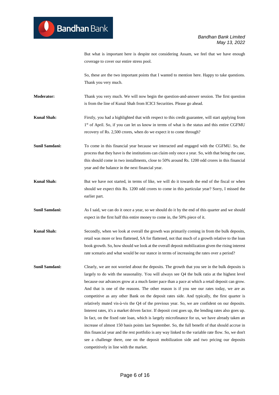But what is important here is despite not considering Assam, we feel that we have enough coverage to cover our entire stress pool.

So, these are the two important points that I wanted to mention here. Happy to take questions. Thank you very much.

**Moderator:** Thank you very much. We will now begin the question-and-answer session. The first question is from the line of Kunal Shah from ICICI Securities. Please go ahead.

**Kunal Shah:** Firstly, you had a highlighted that with respect to this credit guarantee, will start applying from 1<sup>st</sup> of April. So, if you can let us know in terms of what is the status and this entire CGFMU recovery of Rs. 2,500 crores, when do we expect it to come through?

**Sunil Samdani:** To come in this financial year because we interacted and engaged with the CGFMU. So, the process that they have is the institutions can claim only once a year. So, with that being the case, this should come in two installments, close to 50% around Rs. 1200 odd crores in this financial year and the balance in the next financial year.

**Kunal Shah:** But we have not started, in terms of like, we will do it towards the end of the fiscal or when should we expect this Rs. 1200 odd crores to come in this particular year? Sorry, I missed the earlier part.

**Sunil Samdani:** As I said, we can do it once a year, so we should do it by the end of this quarter and we should expect in the first half this entire money to come in, the 50% piece of it.

- **Kunal Shah:** Secondly, when we look at overall the growth was primarily coming in from the bulk deposits, retail was more or less flattened, SA for flattened, not that much of a growth relative to the loan book growth. So, how should we look at the overall deposit mobilization given the rising interest rate scenario and what would be our stance in terms of increasing the rates over a period?
- **Sunil Samdani:** Clearly, we are not worried about the deposits. The growth that you see in the bulk deposits is largely to do with the seasonality. You will always see Q4 the bulk ratio at the highest level because our advances grow at a much faster pace than a pace at which a retail deposit can grow. And that is one of the reasons. The other reason is if you see our rates today, we are as competitive as any other Bank on the deposit rates side. And typically, the first quarter is relatively muted vis-à-vis the Q4 of the previous year. So, we are confident on our deposits. Interest rates, it's a market driven factor. If deposit cost goes up, the lending rates also goes up. In fact, on the fixed rate loan, which is largely microfinance for us, we have already taken an increase of almost 150 basis points last September. So, the full benefit of that should accrue in this financial year and the rest portfolio is any way linked to the variable rate flow. So, we don't see a challenge there, one on the deposit mobilization side and two pricing our deposits competitively in line with the market.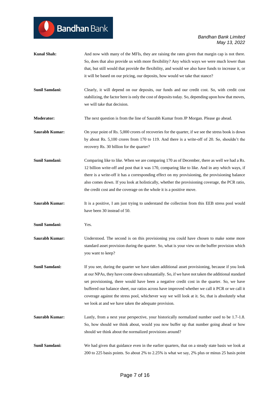| <b>Kunal Shah:</b>    | And now with many of the MFIs, they are raising the rates given that margin cap is not there.<br>So, does that also provide us with more flexibility? Any which ways we were much lower than                                                                                                                                                                                                                                                                                                                                                                     |
|-----------------------|------------------------------------------------------------------------------------------------------------------------------------------------------------------------------------------------------------------------------------------------------------------------------------------------------------------------------------------------------------------------------------------------------------------------------------------------------------------------------------------------------------------------------------------------------------------|
|                       | that, but still would that provide the flexibility, and would we also have funds to increase it, or<br>it will be based on our pricing, our deposits, how would we take that stance?                                                                                                                                                                                                                                                                                                                                                                             |
| <b>Sunil Samdani:</b> | Clearly, it will depend on our deposits, our funds and our credit cost. So, with credit cost<br>stabilizing, the factor here is only the cost of deposits today. So, depending upon how that moves,<br>we will take that decision.                                                                                                                                                                                                                                                                                                                               |
| <b>Moderator:</b>     | The next question is from the line of Saurabh Kumar from JP Morgan. Please go ahead.                                                                                                                                                                                                                                                                                                                                                                                                                                                                             |
| <b>Saurabh Kumar:</b> | On your point of Rs. 5,000 crores of recoveries for the quarter, if we see the stress book is down<br>by about Rs. 5,100 crores from 170 to 119. And there is a write-off of 20. So, shouldn't the<br>recovery Rs. 30 billion for the quarter?                                                                                                                                                                                                                                                                                                                   |
| <b>Sunil Samdani:</b> | Comparing like to like. When we are comparing 170 as of December, there as well we had a Rs.<br>12 billion write-off and post that it was 170, comparing like to like. And in any which ways, if<br>there is a write-off it has a corresponding effect on my provisioning, the provisioning balance<br>also comes down. If you look at holistically, whether the provisioning coverage, the PCR ratio,<br>the credit cost and the coverage on the whole it is a positive move.                                                                                   |
| <b>Saurabh Kumar:</b> | It is a positive, I am just trying to understand the collection from this EEB stress pool would<br>have been 30 instead of 50.                                                                                                                                                                                                                                                                                                                                                                                                                                   |
| <b>Sunil Samdani:</b> | Yes.                                                                                                                                                                                                                                                                                                                                                                                                                                                                                                                                                             |
| <b>Saurabh Kumar:</b> | Understood. The second is on this provisioning you could have chosen to make some more<br>standard asset provision during the quarter. So, what is your view on the buffer provision which<br>you want to keep?                                                                                                                                                                                                                                                                                                                                                  |
| Sunil Samdani:        | If you see, during the quarter we have taken additional asset provisioning, because if you look<br>at our NPAs, they have come down substantially. So, if we have not taken the additional standard<br>set provisioning, there would have been a negative credit cost in the quarter. So, we have<br>buffered our balance sheet, our ratios across have improved whether we call it PCR or we call it<br>coverage against the stress pool, whichever way we will look at it. So, that is absolutely what<br>we look at and we have taken the adequate provision. |
| <b>Saurabh Kumar:</b> | Lastly, from a next year perspective, your historically normalized number used to be 1.7-1.8.<br>So, how should we think about, would you now buffer up that number going ahead or how<br>should we think about the normalized provisions around?                                                                                                                                                                                                                                                                                                                |
| Sunil Samdani:        | We had given that guidance even in the earlier quarters, that on a steady state basis we look at<br>200 to 225 basis points. So about 2% to 2.25% is what we say, 2% plus or minus 25 basis point                                                                                                                                                                                                                                                                                                                                                                |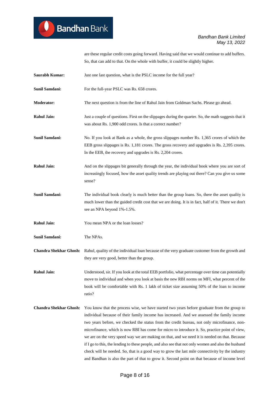are these regular credit costs going forward. Having said that we would continue to add buffers. So, that can add to that. On the whole with buffer, it could be slightly higher.

- **Saurabh Kumar:** Just one last question, what is the PSLC income for the full year?
- **Sunil Samdani:** For the full-year PSLC was Rs. 658 crores.
- **Moderator:** The next question is from the line of Rahul Jain from Goldman Sachs. Please go ahead.
- **Rahul Jain:** Just a couple of questions. First on the slippages during the quarter. So, the math suggests that it was about Rs. 1,900 odd crores. Is that a correct number?
- **Sunil Samdani:** No. If you look at Bank as a whole, the gross slippages number Rs. 1,365 crores of which the EEB gross slippages is Rs. 1,181 crores. The gross recovery and upgrades is Rs. 2,395 crores. In the EEB, the recovery and upgrades is Rs. 2,204 crores.
- Rahul Jain: And on the slippages bit generally through the year, the individual book where you are sort of increasingly focused, how the asset quality trends are playing out there? Can you give us some sense?
- **Sunil Samdani:** The individual book clearly is much better than the group loans. So, there the asset quality is much lower than the guided credit cost that we are doing. It is in fact, half of it. There we don't see an NPA beyond 1%-1.5%.
- **Rahul Jain:** You mean NPA or the loan losses?
- **Sunil Samdani:** The NPAs.

**Chandra Shekhar Ghosh:** Rahul, quality of the individual loan because of the very graduate customer from the growth and they are very good, better than the group.

**Rahul Jain:** Understood, sir. If you look at the total EEB portfolio, what percentage over time can potentially move to individual and when you look at basis the new RBI norms on MFI, what percent of the book will be comfortable with Rs. 1 lakh of ticket size assuming 50% of the loan to income ratio?

**Chandra Shekhar Ghosh:** You know that the process wise, we have started two years before graduate from the group to individual because of their family income has increased. And we assessed the family income two years before, we checked the status from the credit bureau, not only microfinance, nonmicrofinance, which is now RBI has come for micro to introduce it. So, practice point of view, we are on the very speed way we are making on that, and we need it is needed on that. Because if I go to this, the lending to these people, and also see that not only women and also the husband check will be needed. So, that is a good way to grow the last mile connectivity by the industry and Bandhan is also the part of that to grow it. Second point on that because of income level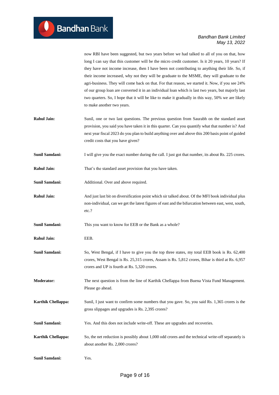now RBI have been suggested, but two years before we had talked to all of you on that, how long I can say that this customer will be the micro credit customer. Is it 20 years, 10 years? If they have not income increase, then I have been not contributing to anything their life. So, if their income increased, why not they will be graduate to the MSME, they will graduate to the agri-business. They will come back on that. For that reason, we started it. Now, if you see 24% of our group loan are converted it in an individual loan which is last two years, but majorly last two quarters. So, I hope that it will be like to make it gradually in this way, 50% we are likely to make another two years.

- **Rahul Jain:** Sunil, one or two last questions. The previous question from Saurabh on the standard asset provision, you said you have taken it in this quarter. Can you quantify what that number is? And next year fiscal 2023 do you plan to build anything over and above this 200 basis point of guided credit costs that you have given?
- **Sunil Samdani:** I will give you the exact number during the call. I just got that number, its about Rs. 225 crores.

**Rahul Jain:** That's the standard asset provision that you have taken.

**Sunil Samdani:** Additional. Over and above required.

**Rahul Jain:** And just last bit on diversification point which sir talked about. Of the MFI book individual plus non-individual, can we get the latest figures of east and the bifurcation between east, west, south, etc.?

Sunil Samdani: This you want to know for EEB or the Bank as a whole?

**Rahul Jain:** EEB.

**Sunil Samdani:** So, West Bengal, if I have to give you the top three states, my total EEB book is Rs. 62,400 crores, West Bengal is Rs. 25,315 crores, Assam is Rs. 5,812 crores, Bihar is third at Rs. 6,957 crores and UP is fourth at Rs. 5,320 crores.

**Moderator:** The next question is from the line of Karthik Chellappa from Buena Vista Fund Management. Please go ahead.

- **Karthik Chellappa:** Sunil, I just want to confirm some numbers that you gave. So, you said Rs. 1,365 crores is the gross slippages and upgrades is Rs. 2,395 crores?
- **Sunil Samdani:** Yes. And this does not include write-off. These are upgrades and recoveries.
- **Karthik Chellappa:** So, the net reduction is possibly about 1,000 odd crores and the technical write-off separately is about another Rs. 2,000 crores?

**Sunil Samdani:** Yes.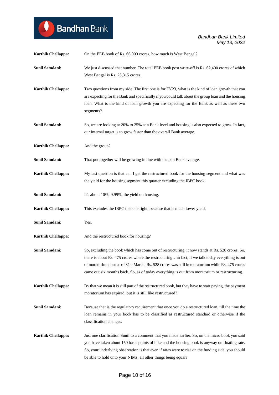| <b>Karthik Chellappa:</b> | On the EEB book of Rs. 66,000 crores, how much is West Bengal?                                                                                                                                                                                                                                                                                                                                            |
|---------------------------|-----------------------------------------------------------------------------------------------------------------------------------------------------------------------------------------------------------------------------------------------------------------------------------------------------------------------------------------------------------------------------------------------------------|
| <b>Sunil Samdani:</b>     | We just discussed that number. The total EEB book post write-off is Rs. 62,400 crores of which<br>West Bengal is Rs. 25,315 crores.                                                                                                                                                                                                                                                                       |
| <b>Karthik Chellappa:</b> | Two questions from my side. The first one is for FY23, what is the kind of loan growth that you<br>are expecting for the Bank and specifically if you could talk about the group loan and the housing<br>loan. What is the kind of loan growth you are expecting for the Bank as well as these two<br>segments?                                                                                           |
| <b>Sunil Samdani:</b>     | So, we are looking at 20% to 25% at a Bank level and housing is also expected to grow. In fact,<br>our internal target is to grow faster than the overall Bank average.                                                                                                                                                                                                                                   |
| <b>Karthik Chellappa:</b> | And the group?                                                                                                                                                                                                                                                                                                                                                                                            |
| Sunil Samdani:            | That put together will be growing in line with the pan Bank average.                                                                                                                                                                                                                                                                                                                                      |
| <b>Karthik Chellappa:</b> | My last question is that can I get the restructured book for the housing segment and what was<br>the yield for the housing segment this quarter excluding the IBPC book.                                                                                                                                                                                                                                  |
| <b>Sunil Samdani:</b>     | It's about 10%; 9.99%, the yield on housing.                                                                                                                                                                                                                                                                                                                                                              |
| Karthik Chellappa:        | This excludes the IBPC this one right, because that is much lower yield.                                                                                                                                                                                                                                                                                                                                  |
| <b>Sunil Samdani:</b>     | Yes.                                                                                                                                                                                                                                                                                                                                                                                                      |
| Karthik Chellappa:        | And the restructured book for housing?                                                                                                                                                                                                                                                                                                                                                                    |
| Sunil Samdani:            | So, excluding the book which has come out of restructuring, it now stands at Rs. 528 crores. So,<br>there is about Rs. 475 crores where the restructuringin fact, if we talk today everything is out<br>of moratorium, but as of 31st March, Rs. 528 crores was still in moratorium while Rs. 475 crores<br>came out six months back. So, as of today everything is out from moratorium or restructuring. |
| <b>Karthik Chellappa:</b> | By that we mean it is still part of the restructured book, but they have to start paying, the payment<br>moratorium has expired, but it is still like restructured?                                                                                                                                                                                                                                       |
| <b>Sunil Samdani:</b>     | Because that is the regulatory requirement that once you do a restructured loan, till the time the<br>loan remains in your book has to be classified as restructured standard or otherwise if the<br>classification changes.                                                                                                                                                                              |
| Karthik Chellappa:        | Just one clarification Sunil to a comment that you made earlier. So, on the micro book you said<br>you have taken about 150 basis points of hike and the housing book is anyway on floating rate.<br>So, your underlying observation is that even if rates were to rise on the funding side, you should<br>be able to hold onto your NIMs, all other things being equal?                                  |

Bandhan Bank

 $\bullet$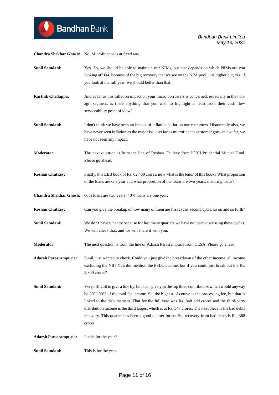**Chandra Shekhar Ghosh:** No, Microfinance is at fixed rate.

**Bandhan** Bank

- **Sunil Samdani:** Yes. So, we should be able to maintain our NIMs, but that depends on which NIMs are you looking at? Q4, because of the big recovery that we see on the NPA pool, it is higher but, yes, if you look at the full year, we should better than that.
- **Karthik Chellappa:** And as far as this inflation impact on your micro borrowers is concerned, especially in the nonagri segment, is there anything that you wish to highlight at least from their cash flow serviceability point of view?
- **Sunil Samdani:** I don't think we have seen an impact of inflation so far on our customers. Historically also, we have never seen inflation as the major issue as far as microfinance customer goes and so far, we have not seen any impact.
- **Moderator:** The next question is from the line of Roshan Chutkey from ICICI Prudential Mutual Fund. Please go ahead.
- **Roshan Chutkey:** Firstly, this EEB book of Rs. 62,400 crores, now what is the tenor of this book? What proportion of the loans are one year and what proportion of the loans are two years, maturing loans?
- **Chandra Shekhar Ghosh:** 60% loans are two years; 40% loans are one year.
- **Roshan Chutkey:** Can you give the breakup of how many of them are first cycle, second cycle, so on and so forth?
- **Sunil Samdani:** We don't have it handy because for last many quarters we have not been discussing these cycles. We will check that, and we will share it with you.
- **Moderator:** The next question is from the line of Adarsh Parasrampuria from CLSA. Please go ahead.
- **Adarsh Parasrampuria:** Sunil, just wanted to check. Could you just give the breakdown of the other income, all income excluding the NII? You did mention the PSLC income, but if you could just break out the Rs. 2,800 crores?
- **Sunil Samdani:** Very difficult to give a line by, but I can give you the top three contributors which would anyway be 80%-90% of the total fee income. So, the highest of course is the processing fee, but that is linked to the disbursement. That for the full year was Rs. 848 odd crores and the third-party distribution income is the third largest which is at Rs. 347 crores. The next piece is the bad debts recovery. This quarter has been a good quarter for us. So, recovery from bad debts is Rs. 388 crores.

**Adarsh Parasrampuria:** Is this for the year?

**Sunil Samdani:** This is for the year.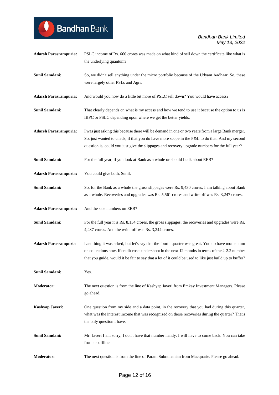| <b>Adarsh Parasrampuria:</b> | PSLC income of Rs. 660 crores was made on what kind of sell down the certificate like what is<br>the underlying quantum?                                                                                                                                                                                       |
|------------------------------|----------------------------------------------------------------------------------------------------------------------------------------------------------------------------------------------------------------------------------------------------------------------------------------------------------------|
| Sunil Samdani:               | So, we didn't sell anything under the micro portfolio because of the Udyam Aadhaar. So, these<br>were largely other PSLs and Agri.                                                                                                                                                                             |
| <b>Adarsh Parasrampuria:</b> | And would you now do a little bit more of PSLC sell down? You would have access?                                                                                                                                                                                                                               |
| Sunil Samdani:               | That clearly depends on what is my access and how we tend to use it because the option to us is<br>IBPC or PSLC depending upon where we get the better yields.                                                                                                                                                 |
| <b>Adarsh Parasrampuria:</b> | I was just asking this because there will be demand in one or two years from a large Bank merger.<br>So, just wanted to check, if that you do have more scope in the P&L to do that. And my second<br>question is, could you just give the slippages and recovery upgrade numbers for the full year?           |
| Sunil Samdani:               | For the full year, if you look at Bank as a whole or should I talk about EEB?                                                                                                                                                                                                                                  |
| <b>Adarsh Parasrampuria:</b> | You could give both, Sunil.                                                                                                                                                                                                                                                                                    |
| Sunil Samdani:               | So, for the Bank as a whole the gross slippages were Rs. 9,430 crores, I am talking about Bank<br>as a whole. Recoveries and upgrades was Rs. 5,561 crores and write-off was Rs. 3,247 crores.                                                                                                                 |
| <b>Adarsh Parasrampuria:</b> | And the sale numbers on EEB?                                                                                                                                                                                                                                                                                   |
| Sunil Samdani:               | For the full year it is Rs. 8,134 crores, the gross slippages, the recoveries and upgrades were Rs.<br>4,487 crores. And the write-off was Rs. 3,244 crores.                                                                                                                                                   |
| <b>Adarsh Parasrampuria</b>  | Last thing it was asked, but let's say that the fourth quarter was great. You do have momentum<br>on collections now. If credit costs undershoot in the next 12 months in terms of the 2-2.2 number<br>that you guide, would it be fair to say that a lot of it could be used to like just build up to buffer? |
| Sunil Samdani:               | Yes.                                                                                                                                                                                                                                                                                                           |
| <b>Moderator:</b>            | The next question is from the line of Kashyap Javeri from Emkay Investment Managers. Please<br>go ahead.                                                                                                                                                                                                       |
| Kashyap Javeri:              | One question from my side and a data point, in the recovery that you had during this quarter,<br>what was the interest income that was recognized on those recoveries during the quarter? That's<br>the only question I have.                                                                                  |
| Sunil Samdani:               | Mr. Javeri I am sorry, I don't have that number handy, I will have to come back. You can take<br>from us offline.                                                                                                                                                                                              |
| <b>Moderator:</b>            | The next question is from the line of Param Subramanian from Macquarie. Please go ahead.                                                                                                                                                                                                                       |

Bandhan Bank

 $\bullet$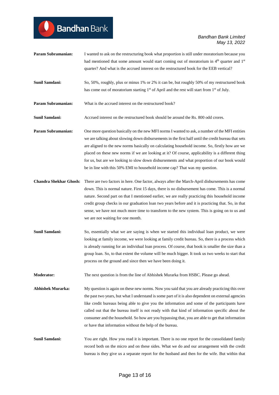| <b>Sunil Samdani:</b>         | So, 50%, roughly, plus or minus 1% or 2% it can be, but roughly 50% of my restructured book<br>has come out of moratorium starting 1 <sup>st</sup> of April and the rest will start from 1 <sup>st</sup> of July.                                                                                                                                                                                                                                                                                                                                                                         |
|-------------------------------|-------------------------------------------------------------------------------------------------------------------------------------------------------------------------------------------------------------------------------------------------------------------------------------------------------------------------------------------------------------------------------------------------------------------------------------------------------------------------------------------------------------------------------------------------------------------------------------------|
| Param Subramanian:            | What is the accrued interest on the restructured book?                                                                                                                                                                                                                                                                                                                                                                                                                                                                                                                                    |
| <b>Sunil Samdani:</b>         | Accrued interest on the restructured book should be around the Rs. 800 odd crores.                                                                                                                                                                                                                                                                                                                                                                                                                                                                                                        |
| <b>Param Subramanian:</b>     | One more question basically on the new MFI norms I wanted to ask, a number of the MFI entities<br>we are talking about slowing down disbursements in the first half until the credit bureau that sets<br>are aligned to the new norms basically on calculating household income. So, firstly how are we<br>placed on these new norms if we are looking at it? Of course, applicability is a different thing<br>for us, but are we looking to slow down disbursements and what proportion of our book would<br>be in line with this 50% EMI to household income cap? That was my question. |
| <b>Chandra Shekhar Ghosh:</b> | There are two factors in here. One factor, always after the March-April disbursements has come<br>down. This is normal nature. First 15 days, there is no disbursement has come. This is a normal<br>nature. Second part on that I mentioned earlier, we are really practicing this household income<br>credit group checks in our graduation loan two years before and it is practicing that. So, in that<br>sense, we have not much more time to transform to the new system. This is going on to us and<br>we are not waiting for one month.                                           |
| <b>Sunil Samdani:</b>         | So, essentially what we are saying is when we started this individual loan product, we were<br>looking at family income, we were looking at family credit bureau. So, there is a process which<br>is already running for an individual loan process. Of course, that book is smaller the size than a<br>group loan. So, to that extent the volume will be much bigger. It took us two weeks to start that<br>process on the ground and since then we have been doing it.                                                                                                                  |
| <b>Moderator:</b>             | The next question is from the line of Abhishek Murarka from HSBC. Please go ahead.                                                                                                                                                                                                                                                                                                                                                                                                                                                                                                        |
| <b>Abhishek Murarka:</b>      | My question is again on these new norms. Now you said that you are already practicing this over<br>the past two years, but what I understand is some part of it is also dependent on external agencies<br>like credit bureaus being able to give you the information and some of the participants have<br>called out that the bureau itself is not ready with that kind of information specific about the<br>consumer and the household. So how are you bypassing that, you are able to get that information<br>or have that information without the help of the bureau.                  |
| Sunil Samdani:                | You are right. How you read it is important. There is no one report for the consolidated family<br>record both on the micro and on these sides. What we do and our arrangement with the credit<br>bureau is they give us a separate report for the husband and then for the wife. But within that                                                                                                                                                                                                                                                                                         |

**Param Subramanian:** I wanted to ask on the restructuring book what proportion is still under moratorium because you

**Bandhan** Bank

had mentioned that some amount would start coming out of moratorium in  $4<sup>th</sup>$  quarter and  $1<sup>st</sup>$ 

quarter? And what is the accrued interest on the restructured book for the EEB vertical?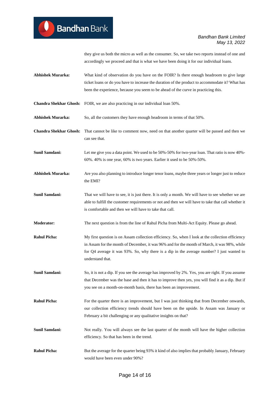they give us both the micro as well as the consumer. So, we take two reports instead of one and accordingly we proceed and that is what we have been doing it for our individual loans.

- **Abhishek Murarka:** What kind of observation do you have on the FOIR? Is there enough headroom to give large ticket loans or do you have to increase the duration of the product to accommodate it? What has been the experience, because you seem to be ahead of the curve in practicing this.
- **Chandra Shekhar Ghosh:** FOIR, we are also practicing in our individual loan 50%.

**Abhishek Murarka:** So, all the customers they have enough headroom in terms of that 50%.

- **Chandra Shekhar Ghosh:** That cannot be like to comment now, need on that another quarter will be passed and then we can see that.
- **Sunil Samdani:** Let me give you a data point. We used to be 50%-50% for two-year loan. That ratio is now 40%-60%. 40% is one year, 60% is two years. Earlier it used to be 50%-50%.
- **Abhishek Murarka:** Are you also planning to introduce longer tenor loans, maybe three years or longer just to reduce the EMI?
- **Sunil Samdani:** That we will have to see, it is just there. It is only a month. We will have to see whether we are able to fulfill the customer requirements or not and then we will have to take that call whether it is comfortable and then we will have to take that call.
- **Moderator:** The next question is from the line of Rahul Picha from Multi-Act Equity. Please go ahead.
- **Rahul Picha:** My first question is on Assam collection efficiency. So, when I look at the collection efficiency in Assam for the month of December, it was 96% and for the month of March, it was 98%, while for Q4 average it was 93%. So, why there is a dip in the average number? I just wanted to understand that.
- **Sunil Samdani:** So, it is not a dip. If you see the average has improved by 2%. Yes, you are right. If you assume that December was the base and then it has to improve then yes, you will find it as a dip. But if you see on a month-on-month basis, there has been an improvement.
- **Rahul Picha:** For the quarter there is an improvement, but I was just thinking that from December onwards, our collection efficiency trends should have been on the upside. In Assam was January or February a bit challenging or any qualitative insights on that?
- **Sunil Samdani:** Not really. You will always see the last quarter of the month will have the higher collection efficiency. So that has been in the trend.
- **Rahul Picha:** But the average for the quarter being 93% it kind of also implies that probably January, February would have been even under 90%?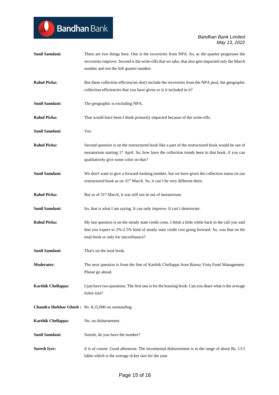# Bandhan Bank

# *Bandhan Bank Limited May 13, 2022*

| <b>Sunil Samdani:</b>     | There are two things here. One is the recoveries from NPA. So, as the quarter progresses the                |
|---------------------------|-------------------------------------------------------------------------------------------------------------|
|                           | recoveries improve. Second is the write-offs that we take, that also gets impacted only the March           |
|                           | number and not the full quarter number.                                                                     |
|                           |                                                                                                             |
| <b>Rahul Picha:</b>       | But these collection efficiencies don't include the recoveries from the NPA pool, the geographic            |
|                           | collection efficiencies that you have given or is it included in it?                                        |
|                           |                                                                                                             |
| Sunil Samdani:            | The geographic is excluding NPA.                                                                            |
|                           |                                                                                                             |
| <b>Rahul Picha:</b>       | That would have been I think primarily impacted because of the write-offs.                                  |
|                           |                                                                                                             |
| <b>Sunil Samdani:</b>     | Yes.                                                                                                        |
|                           |                                                                                                             |
| <b>Rahul Picha:</b>       | Second question is on the restructured book like a part of the restructured book would be out of            |
|                           |                                                                                                             |
|                           | moratorium starting 1 <sup>st</sup> April. So, how have the collection trends been in that book, if you can |
|                           | qualitatively give some color on that?                                                                      |
|                           |                                                                                                             |
| <b>Sunil Samdani:</b>     | We don't want to give a forward-looking number, but we have given the collection status on our              |
|                           | restructured book as on 31 <sup>st</sup> March. So, it can't be very different there.                       |
|                           |                                                                                                             |
| <b>Rahul Picha:</b>       | But as of 31 <sup>st</sup> March, it was still not in out of moratorium.                                    |
|                           |                                                                                                             |
| <b>Sunil Samdani:</b>     | So, that is what I am saying. It can only improve. It can't deteriorate.                                    |
|                           |                                                                                                             |
| <b>Rahul Picha:</b>       | My last question is on the steady state credit costs. I think a little while back in the call you said      |
|                           | that you expect to 2%-2.5% kind of steady state credit cost going forward. So, was that on the              |
|                           | total book or only for microfinance?                                                                        |
|                           |                                                                                                             |
| Sunil Samdani:            | That's on the total book.                                                                                   |
|                           |                                                                                                             |
| <b>Moderator:</b>         | The next question is from the line of Karthik Chellappa from Buena Vista Fund Management.                   |
|                           | Please go ahead.                                                                                            |
|                           |                                                                                                             |
| <b>Karthik Chellappa:</b> | I just have two questions. The first one is for the housing book. Can you share what is the average         |
|                           | ticket size?                                                                                                |
|                           |                                                                                                             |
|                           | Chandra Shekhar Ghosh: Rs. 8,15,000 on outstanding.                                                         |
|                           |                                                                                                             |
| <b>Karthik Chellappa:</b> | No, on disbursement.                                                                                        |
|                           |                                                                                                             |
| <b>Sunil Samdani:</b>     | Suresh, do you have the number?                                                                             |
|                           |                                                                                                             |
|                           | It is of course. Good afternoon. The incremental disbursement is in the range of about Rs. 13.5             |
| <b>Suresh Iyer:</b>       |                                                                                                             |
|                           | lakhs which is the average ticket size for the year.                                                        |